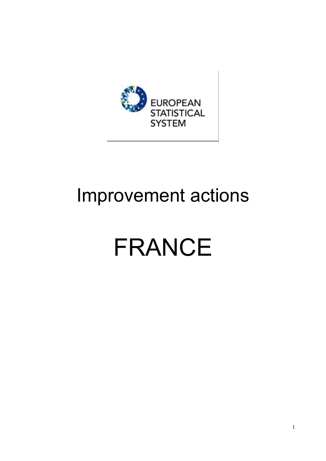

## Improvement actions

# FRANCE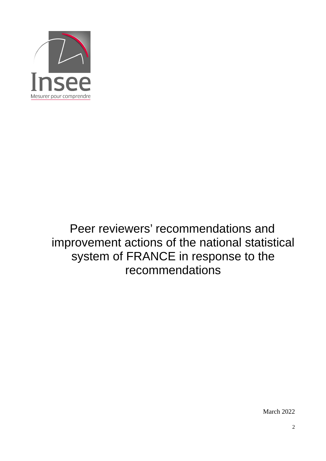

### Peer reviewers' recommendations and improvement actions of the national statistical system of FRANCE in response to the recommendations

March 2022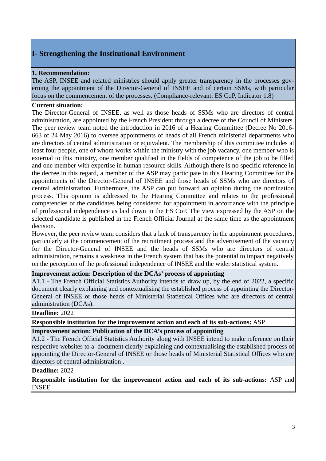#### **I- Strengthening the Institutional Environment**

#### **1. Recommendation:**

The ASP, INSEE and related ministries should apply greater transparency in the processes governing the appointment of the Director-General of INSEE and of certain SSMs, with particular focus on the commencement of the processes. (Compliance-relevant: ES CoP, Indicator 1.8)

#### **Current situation:**

The Director-General of INSEE, as well as those heads of SSMs who are directors of central administration, are appointed by the French President through a decree of the Council of Ministers. The peer review team noted the introduction in 2016 of a Hearing Committee (Decree No 2016- 663 of 24 May 2016) to oversee appointments of heads of all French ministerial departments who are directors of central administration or equivalent. The membership of this committee includes at least four people, one of whom works within the ministry with the job vacancy, one member who is external to this ministry, one member qualified in the fields of competence of the job to be filled and one member with expertise in human resource skills. Although there is no specific reference in the decree in this regard, a member of the ASP may participate in this Hearing Committee for the appointments of the Director-General of INSEE and those heads of SSMs who are directors of central administration. Furthermore, the ASP can put forward an opinion during the nomination process. This opinion is addressed to the Hearing Committee and relates to the professional competencies of the candidates being considered for appointment in accordance with the principle of professional independence as laid down in the ES CoP. The view expressed by the ASP on the selected candidate is published in the French Official Journal at the same time as the appointment decision.

However, the peer review team considers that a lack of transparency in the appointment procedures, particularly at the commencement of the recruitment process and the advertisement of the vacancy for the Director-General of INSEE and the heads of SSMs who are directors of central administration, remains a weakness in the French system that has the potential to impact negatively on the perception of the professional independence of INSEE and the wider statistical system.

#### **Improvement action: Description of the DCAs' process of appointing**

A1.1 - The French Official Statistics Authority intends to draw up, by the end of 2022, a specific document clearly explaining and contextualising the established process of appointing the Director-General of INSEE or those heads of Ministerial Statistical Offices who are directors of central administration (DCAs).

#### **Deadline:** 2022

#### **Responsible institution for the improvement action and each of its sub-actions:** ASP

#### **Improvement action: Publication of the DCA's process of appointing**

A1.2 - The French Official Statistics Authority along with INSEE intend to make reference on their respective websites to a document clearly explaining and contextualising the established process of appointing the Director-General of INSEE or those heads of Ministerial Statistical Offices who are directors of central administration .

#### **Deadline:** 2022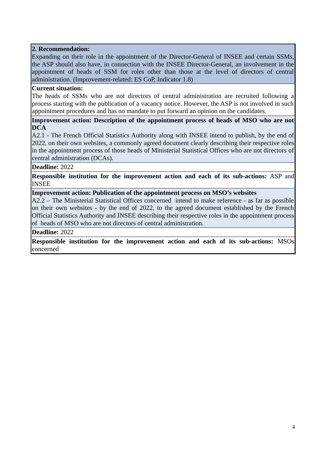Expanding on their role in the appointment of the Director-General of INSEE and certain SSMs, the ASP should also have, in connection with the INSEE Director-General, an involvement in the appointment of heads of SSM for roles other than those at the level of directors of central administration. (Improvement-related: ES CoP, Indicator 1.8)

#### **Current situation:**

The heads of SSMs who are not directors of central administration are recruited following a process starting with the publication of a vacancy notice. However, the ASP is not involved in such appointment procedures and has no mandate to put forward an opinion on the candidates.

#### **Improvement action: Description of the appointment process of heads of MSO who are not DCA**

A2.1 - The French Official Statistics Authority along with INSEE intend to publish, by the end of 2022, on their own websites, a commonly agreed document clearly describing their respective roles in the appointment process of those heads of Ministerial Statistical Offices who are not directors of central administration (DCAs).

#### **Deadline:** 2022

**Responsible institution for the improvement action and each of its sub-actions:** ASP and INSEE

#### **Improvement action: Publication of the appointment process on MSO's websites**

A2.2 – The Ministerial Statistical Offices concerned intend to make reference - as far as possible on their own websites - by the end of 2022, to the agreed document established by the French Official Statistics Authority and INSEE describing their respective roles in the appointment process of heads of MSO who are not directors of central administration.

#### **Deadline:** 2022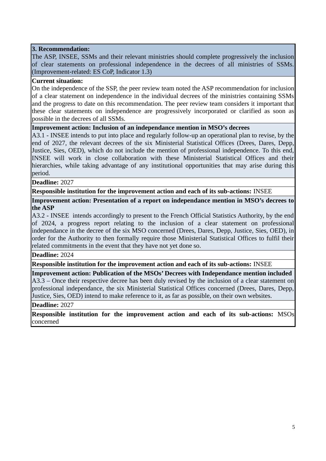The ASP, INSEE, SSMs and their relevant ministries should complete progressively the inclusion of clear statements on professional independence in the decrees of all ministries of SSMs. (Improvement-related: ES CoP, Indicator 1.3)

#### **Current situation:**

On the independence of the SSP, the peer review team noted the ASP recommendation for inclusion of a clear statement on independence in the individual decrees of the ministries containing SSMs and the progress to date on this recommendation. The peer review team considers it important that these clear statements on independence are progressively incorporated or clarified as soon as possible in the decrees of all SSMs.

#### **Improvement action: Inclusion of an independance mention in MSO's decrees**

A3.1 - INSEE intends to put into place and regularly follow-up an operational plan to revise, by the end of 2027, the relevant decrees of the six Ministerial Statistical Offices (Drees, Dares, Depp, Justice, Sies, OED), which do not include the mention of professional independence. To this end, INSEE will work in close collaboration with these Ministerial Statistical Offices and their hierarchies, while taking advantage of any institutional opportunities that may arise during this period.

**Deadline:** 2027

**Responsible institution for the improvement action and each of its sub-actions:** INSEE

**Improvement action: Presentation of a report on independance mention in MSO's decrees to the ASP**

A3.2 - INSEE intends accordingly to present to the French Official Statistics Authority, by the end of 2024, a progress report relating to the inclusion of a clear statement on professional independance in the decree of the six MSO concerned (Drees, Dares, Depp, Justice, Sies, OED), in order for the Authority to then formally require those Ministerial Statistical Offices to fulfil their related commitments in the event that they have not yet done so.

**Deadline:** 2024

**Responsible institution for the improvement action and each of its sub-actions:** INSEE

**Improvement action: Publication of the MSOs' Decrees with Independance mention included** A3.3 – Once their respective decree has been duly revised by the inclusion of a clear statement on professional independance, the six Ministerial Statistical Offices concerned (Drees, Dares, Depp, Justice, Sies, OED) intend to make reference to it, as far as possible, on their own websites.

#### **Deadline:** 2027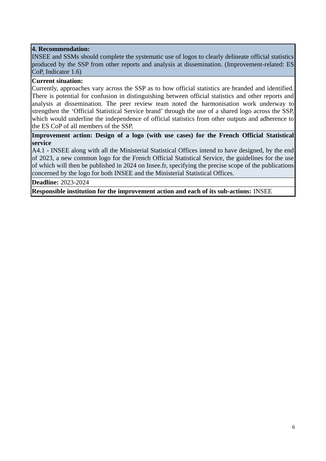INSEE and SSMs should complete the systematic use of logos to clearly delineate official statistics produced by the SSP from other reports and analysis at dissemination. (Improvement-related: ES CoP, Indicator 1.6)

#### **Current situation:**

Currently, approaches vary across the SSP as to how official statistics are branded and identified. There is potential for confusion in distinguishing between official statistics and other reports and analysis at dissemination. The peer review team noted the harmonisation work underway to strengthen the 'Official Statistical Service brand' through the use of a shared logo across the SSP, which would underline the independence of official statistics from other outputs and adherence to the ES CoP of all members of the SSP.

#### **Improvement action: Design of a logo (with use cases) for the French Official Statistical service**

A4.1 - INSEE along with all the Ministerial Statistical Offices intend to have designed, by the end of 2023, a new common logo for the French Official Statistical Service, the guidelines for the use of which will then be published in 2024 on Insee.fr, specifying the precise scope of the publications concerned by the logo for both INSEE and the Ministerial Statistical Offices.

**Deadline:** 2023-2024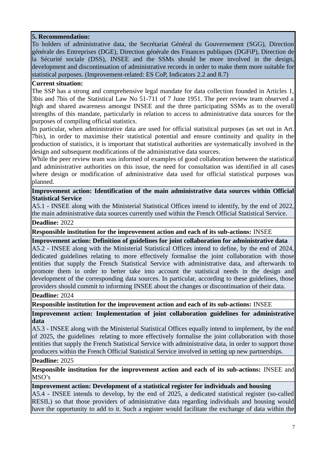To holders of administrative data, the Secrétariat Général du Gouvernement (SGG), Direction générale des Entreprises (DGE), Direction générale des Finances publiques (DGFiP), Direction de la Sécurité sociale (DSS), INSEE and the SSMs should be more involved in the design, development and discontinuation of administrative records in order to make them more suitable for statistical purposes. (Improvement-related: ES CoP, Indicators 2.2 and 8.7)

#### **Current situation:**

The SSP has a strong and comprehensive legal mandate for data collection founded in Articles 1, 3bis and 7bis of the Statistical Law No 51-711 of 7 June 1951. The peer review team observed a high and shared awareness amongst INSEE and the three participating SSMs as to the overall strengths of this mandate, particularly in relation to access to administrative data sources for the purposes of compiling official statistics.

In particular, when administrative data are used for official statistical purposes (as set out in Art. 7bis), in order to maximise their statistical potential and ensure continuity and quality in the production of statistics, it is important that statistical authorities are systematically involved in the design and subsequent modifications of the administrative data sources.

While the peer review team was informed of examples of good collaboration between the statistical and administrative authorities on this issue, the need for consultation was identified in all cases where design or modification of administrative data used for official statistical purposes was planned.

#### **Improvement action: Identification of the main administrative data sources within Official Statistical Service**

A5.1 - INSEE along with the Ministerial Statistical Offices intend to identify, by the end of 2022, the main administrative data sources currently used within the French Official Statistical Service.

#### **Deadline:** 2022

**Responsible institution for the improvement action and each of its sub-actions:** INSEE

**Improvement action: Definition of guidelines for joint collaboration for administrative data** A5.2 - INSEE along with the Ministerial Statistical Offices intend to define, by the end of 2024, dedicated guidelines relating to more effectively formalise the joint collaboration with those entities that supply the French Statistical Service with administrative data, and afterwards to promote them in order to better take into account the statistical needs in the design and development of the corresponding data sources. In particular, according to these guidelines, those providers should commit to informing INSEE about the changes or discontinuation of their data.

**Deadline:** 2024

**Responsible institution for the improvement action and each of its sub-actions:** INSEE

**Improvement action: Implementation of joint collaboration guidelines for administrative data**

A5.3 - INSEE along with the Ministerial Statistical Offices equally intend to implement, by the end of 2025, the guidelines relating to more effectively formalise the joint collaboration with those entities that supply the French Statistical Service with administrative data, in order to support those producers within the French Official Statistical Service involved in setting up new partnerships.

#### **Deadline:** 2025

**Responsible institution for the improvement action and each of its sub-actions:** INSEE and MSO's

#### **Improvement action: Development of a statistical register for individuals and housing**

A5.4 - INSEE intends to develop, by the end of 2025, a dedicated statistical register (so-called RESIL) so that those providers of administrative data regarding individuals and housing would have the opportunity to add to it. Such a register would facilitate the exchange of data within the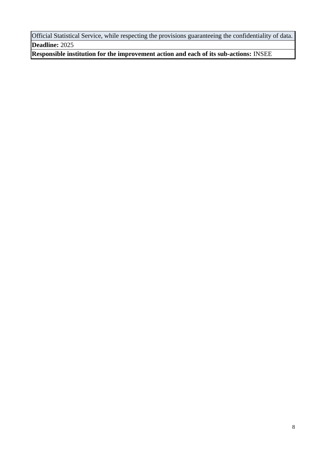Official Statistical Service, while respecting the provisions guaranteeing the confidentiality of data. **Deadline:** 2025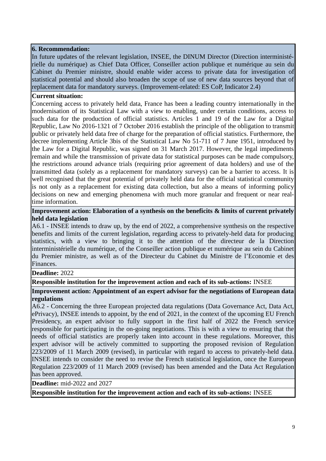In future updates of the relevant legislation, INSEE, the DINUM Director (Direction interministérielle du numérique) as Chief Data Officer, Conseiller action publique et numérique au sein du Cabinet du Premier ministre, should enable wider access to private data for investigation of statistical potential and should also broaden the scope of use of new data sources beyond that of replacement data for mandatory surveys. (Improvement-related: ES CoP, Indicator 2.4)

#### **Current situation:**

Concerning access to privately held data, France has been a leading country internationally in the modernisation of its Statistical Law with a view to enabling, under certain conditions, access to such data for the production of official statistics. Articles 1 and 19 of the Law for a Digital Republic, Law No 2016-1321 of 7 October 2016 establish the principle of the obligation to transmit public or privately held data free of charge for the preparation of official statistics. Furthermore, the decree implementing Article 3bis of the Statistical Law No 51-711 of 7 June 1951, introduced by the Law for a Digital Republic, was signed on 31 March 2017. However, the legal impediments remain and while the transmission of private data for statistical purposes can be made compulsory, the restrictions around advance trials (requiring prior agreement of data holders) and use of the transmitted data (solely as a replacement for mandatory surveys) can be a barrier to access. It is well recognised that the great potential of privately held data for the official statistical community is not only as a replacement for existing data collection, but also a means of informing policy decisions on new and emerging phenomena with much more granular and frequent or near realtime information.

#### **Improvement action: Elaboration of a synthesis on the beneficits & limits of current privately held data legislation**

A6.1 - INSEE intends to draw up, by the end of 2022, a comprehensive synthesis on the respective benefits and limits of the current legislation, regarding access to privately-held data for producing statistics, with a view to bringing it to the attention of the directeur de la Direction interministérielle du numérique, of the Conseiller action publique et numérique au sein du Cabinet du Premier ministre, as well as of the Directeur du Cabinet du Ministre de l'Economie et des Finances.

#### **Deadline:** 2022

#### **Responsible institution for the improvement action and each of its sub-actions:** INSEE

#### **Improvement action: Appointment of an expert advisor for the negotiations of European data regulations**

A6.2 - Concerning the three European projected data regulations (Data Governance Act, Data Act, ePrivacy), INSEE intends to appoint, by the end of 2021, in the context of the upcoming EU French Presidency, an expert advisor to fully support in the first half of 2022 the French service responsible for participating in the on-going negotiations. This is with a view to ensuring that the needs of official statistics are properly taken into account in these regulations. Moreover, this expert advisor will be actively committed to supporting the proposed revision of Regulation 223/2009 of 11 March 2009 (revised), in particular with regard to access to privately-held data. INSEE intends to consider the need to revise the French statistical legislation, once the European Regulation 223/2009 of 11 March 2009 (revised) has been amended and the Data Act Regulation has been approved.

**Deadline:** mid-2022 and 2027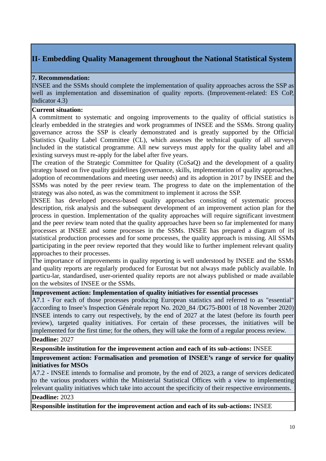#### **II- Embedding Quality Management throughout the National Statistical System**

#### **7. Recommendation:**

INSEE and the SSMs should complete the implementation of quality approaches across the SSP as well as implementation and dissemination of quality reports. (Improvement-related: ES CoP, Indicator 4.3)

#### **Current situation:**

A commitment to systematic and ongoing improvements to the quality of official statistics is clearly embedded in the strategies and work programmes of INSEE and the SSMs. Strong quality governance across the SSP is clearly demonstrated and is greatly supported by the Official Statistics Quality Label Committee (CL), which assesses the technical quality of all surveys included in the statistical programme. All new surveys must apply for the quality label and all existing surveys must re-apply for the label after five years.

The creation of the Strategic Committee for Quality (CoSaQ) and the development of a quality strategy based on five quality guidelines (governance, skills, implementation of quality approaches, adoption of recommendations and meeting user needs) and its adoption in 2017 by INSEE and the SSMs was noted by the peer review team. The progress to date on the implementation of the strategy was also noted, as was the commitment to implement it across the SSP.

INSEE has developed process-based quality approaches consisting of systematic process description, risk analysis and the subsequent development of an improvement action plan for the process in question. Implementation of the quality approaches will require significant investment and the peer review team noted that the quality approaches have been so far implemented for many processes at INSEE and some processes in the SSMs. INSEE has prepared a diagram of its statistical production processes and for some processes, the quality approach is missing. All SSMs participating in the peer review reported that they would like to further implement relevant quality approaches to their processes.

The importance of improvements in quality reporting is well understood by INSEE and the SSMs and quality reports are regularly produced for Eurostat but not always made publicly available. In particu-lar, standardised, user-oriented quality reports are not always published or made available on the websites of INSEE or the SSMs.

#### **Improvement action: Implementation of quality initiatives for essential processes**

A7.1 - For each of those processes producing European statistics and referred to as "essential" (according to Insee's Inspection Générale report No. 2020\_84 /DG75-B001 of 18 November 2020) INSEE intends to carry out respectively, by the end of 2027 at the latest (before its fourth peer review), targeted quality initiatives. For certain of these processes, the initiatives will be implemented for the first time; for the others, they will take the form of a regular process review.

#### **Deadline:** 2027

**Responsible institution for the improvement action and each of its sub-actions:** INSEE

#### **Improvement action: Formalisation and promotion of INSEE's range of service for quality initiatives for MSOs**

A7.2 - INSEE intends to formalise and promote, by the end of 2023, a range of services dedicated to the various producers within the Ministerial Statistical Offices with a view to implementing relevant quality initiatives which take into account the specificity of their respective environments.

#### **Deadline:** 2023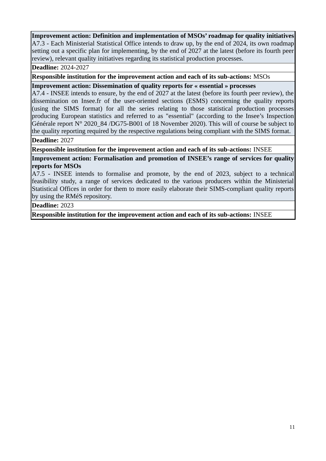**Improvement action: Definition and implementation of MSOs' roadmap for quality initiatives** A7.3 - Each Ministerial Statistical Office intends to draw up, by the end of 2024, its own roadmap setting out a specific plan for implementing, by the end of 2027 at the latest (before its fourth peer review), relevant quality initiatives regarding its statistical production processes.

**Deadline:** 2024-2027

**Responsible institution for the improvement action and each of its sub-actions:** MSOs

#### **Improvement action: Dissemination of quality reports for « essential » processes**

A7.4 - INSEE intends to ensure, by the end of 2027 at the latest (before its fourth peer review), the dissemination on Insee.fr of the user-oriented sections (ESMS) concerning the quality reports (using the SIMS format) for all the series relating to those statistical production processes producing European statistics and referred to as "essential" (according to the Insee's Inspection Générale report  $N^{\circ}$  2020  $\,$  84 /DG75-B001 of 18 November 2020). This will of course be subject to the quality reporting required by the respective regulations being compliant with the SIMS format.

**Deadline:** 2027

**Responsible institution for the improvement action and each of its sub-actions:** INSEE

**Improvement action: Formalisation and promotion of INSEE's range of services for quality reports for MSOs**

A7.5 - INSEE intends to formalise and promote, by the end of 2023, subject to a technical feasibility study, a range of services dedicated to the various producers within the Ministerial Statistical Offices in order for them to more easily elaborate their SIMS-compliant quality reports by using the RMéS repository.

#### **Deadline:** 2023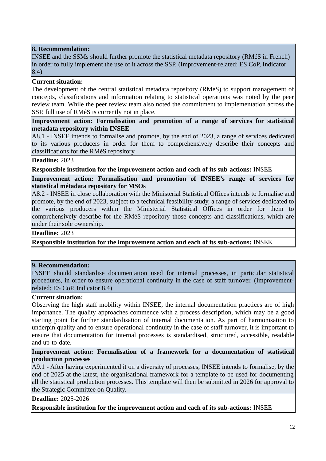INSEE and the SSMs should further promote the statistical metadata repository (RMéS in French) in order to fully implement the use of it across the SSP. (Improvement-related: ES CoP, Indicator 8.4)

#### **Current situation:**

The development of the central statistical metadata repository (RMéS) to support management of concepts, classifications and information relating to statistical operations was noted by the peer review team. While the peer review team also noted the commitment to implementation across the SSP, full use of RMéS is currently not in place.

#### **Improvement action: Formalisation and promotion of a range of services for statistical metadata repository within INSEE**

A8.1 - INSEE intends to formalise and promote, by the end of 2023, a range of services dedicated to its various producers in order for them to comprehensively describe their concepts and classifications for the RMéS repository.

**Deadline:** 2023

**Responsible institution for the improvement action and each of its sub-actions:** INSEE

**Improvement action: Formalisation and promotion of INSEE's range of services for statistical métadata repository for MSOs**

A8.2 - INSEE in close collaboration with the Ministerial Statistical Offices intends to formalise and promote, by the end of 2023, subject to a technical feasibility study, a range of services dedicated to the various producers within the Ministerial Statistical Offices in order for them to comprehensively describe for the RMéS repository those concepts and classifications, which are under their sole ownership.

**Deadline:** 2023

**Responsible institution for the improvement action and each of its sub-actions:** INSEE

#### **9. Recommendation:**

INSEE should standardise documentation used for internal processes, in particular statistical procedures, in order to ensure operational continuity in the case of staff turnover. (Improvementrelated: ES CoP, Indicator 8.4)

#### **Current situation:**

Observing the high staff mobility within INSEE, the internal documentation practices are of high importance. The quality approaches commence with a process description, which may be a good starting point for further standardisation of internal documentation. As part of harmonisation to underpin quality and to ensure operational continuity in the case of staff turnover, it is important to ensure that documentation for internal processes is standardised, structured, accessible, readable and up-to-date.

#### **Improvement action: Formalisation of a framework for a documentation of statistical production processes**

A9.1 - After having experimented it on a diversity of processes, INSEE intends to formalise, by the end of 2025 at the latest, the organisational framework for a template to be used for documenting all the statistical production processes. This template will then be submitted in 2026 for approval to the Strategic Committee on Quality.

**Deadline:** 2025-2026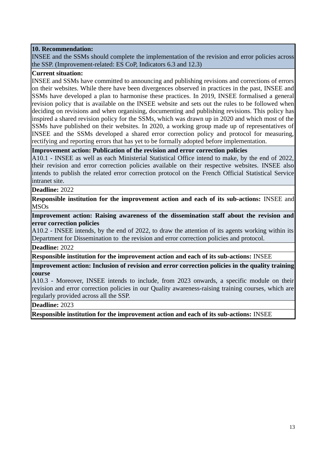INSEE and the SSMs should complete the implementation of the revision and error policies across the SSP. (Improvement-related: ES CoP, Indicators 6.3 and 12.3)

#### **Current situation:**

INSEE and SSMs have committed to announcing and publishing revisions and corrections of errors on their websites. While there have been divergences observed in practices in the past, INSEE and SSMs have developed a plan to harmonise these practices. In 2019, INSEE formalised a general revision policy that is available on the INSEE website and sets out the rules to be followed when deciding on revisions and when organising, documenting and publishing revisions. This policy has inspired a shared revision policy for the SSMs, which was drawn up in 2020 and which most of the SSMs have published on their websites. In 2020, a working group made up of representatives of INSEE and the SSMs developed a shared error correction policy and protocol for measuring, rectifying and reporting errors that has yet to be formally adopted before implementation.

#### **Improvement action: Publication of the revision and error correction policies**

A10.1 - INSEE as well as each Ministerial Statistical Office intend to make, by the end of 2022, their revision and error correction policies available on their respective websites. INSEE also intends to publish the related error correction protocol on the French Official Statistical Service intranet site.

#### **Deadline:** 2022

**Responsible institution for the improvement action and each of its sub-actions:** INSEE and **MSOs** 

#### **Improvement action: Raising awareness of the dissemination staff about the revision and error correction policies**

A10.2 - INSEE intends, by the end of 2022, to draw the attention of its agents working within its Department for Dissemination to the revision and error correction policies and protocol.

**Deadline:** 2022

**Responsible institution for the improvement action and each of its sub-actions:** INSEE

**Improvement action: Inclusion of revision and error correction policies in the quality training course**

A10.3 - Moreover, INSEE intends to include, from 2023 onwards, a specific module on their revision and error correction policies in our Quality awareness-raising training courses, which are regularly provided across all the SSP.

#### **Deadline:** 2023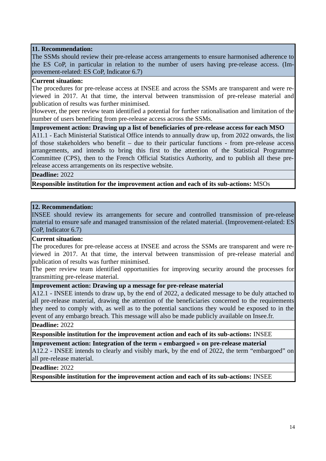The SSMs should review their pre-release access arrangements to ensure harmonised adherence to the ES CoP, in particular in relation to the number of users having pre-release access. (Improvement-related: ES CoP, Indicator 6.7)

#### **Current situation:**

The procedures for pre-release access at INSEE and across the SSMs are transparent and were reviewed in 2017. At that time, the interval between transmission of pre-release material and publication of results was further minimised.

However, the peer review team identified a potential for further rationalisation and limitation of the number of users benefiting from pre-release access across the SSMs.

**Improvement action: Drawing up a list of beneficiaries of pre-release access for each MSO** 

A11.1 - Each Ministerial Statistical Office intends to annually draw up, from 2022 onwards, the list of those stakeholders who benefit – due to their particular functions - from pre-release access arrangements, and intends to bring this first to the attention of the Statistical Programme Committee (CPS), then to the French Official Statistics Authority, and to publish all these prerelease access arrangements on its respective website.

**Deadline:** 2022

**Responsible institution for the improvement action and each of its sub-actions:** MSOs

#### **12. Recommendation:**

INSEE should review its arrangements for secure and controlled transmission of pre-release material to ensure safe and managed transmission of the related material. (Improvement-related: ES CoP, Indicator 6.7)

#### **Current situation:**

The procedures for pre-release access at INSEE and across the SSMs are transparent and were reviewed in 2017. At that time, the interval between transmission of pre-release material and publication of results was further minimised.

The peer review team identified opportunities for improving security around the processes for transmitting pre-release material.

#### **Improvement action: Drawing up a message for pre-release material**

A12.1 - INSEE intends to draw up, by the end of 2022, a dedicated message to be duly attached to all pre-release material, drawing the attention of the beneficiaries concerned to the requirements they need to comply with, as well as to the potential sanctions they would be exposed to in the event of any embargo breach. This message will also be made publicly available on Insee.fr.

#### **Deadline:** 2022

**Responsible institution for the improvement action and each of its sub-actions:** INSEE

**Improvement action: Integration of the term « embargoed » on pre-release material** 

A12.2 - INSEE intends to clearly and visibly mark, by the end of 2022, the term "embargoed" on all pre-release material.

#### **Deadline:** 2022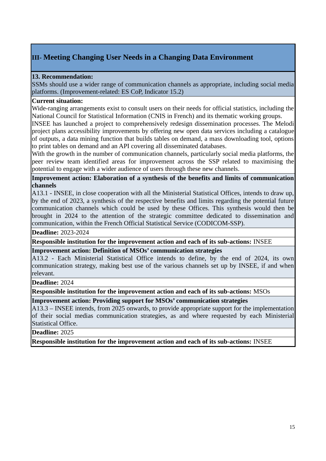#### **III- Meeting Changing User Needs in a Changing Data Environment**

#### **13. Recommendation:**

SSMs should use a wider range of communication channels as appropriate, including social media platforms. (Improvement-related: ES CoP, Indicator 15.2)

#### **Current situation:**

Wide-ranging arrangements exist to consult users on their needs for official statistics, including the National Council for Statistical Information (CNIS in French) and its thematic working groups.

INSEE has launched a project to comprehensively redesign dissemination processes. The Melodi project plans accessibility improvements by offering new open data services including a catalogue of outputs, a data mining function that builds tables on demand, a mass downloading tool, options to print tables on demand and an API covering all disseminated databases.

With the growth in the number of communication channels, particularly social media platforms, the peer review team identified areas for improvement across the SSP related to maximising the potential to engage with a wider audience of users through these new channels.

#### **Improvement action: Elaboration of a synthesis of the benefits and limits of communication channels**

A13.1 - INSEE, in close cooperation with all the Ministerial Statistical Offices, intends to draw up, by the end of 2023, a synthesis of the respective benefits and limits regarding the potential future communication channels which could be used by these Offices. This synthesis would then be brought in 2024 to the attention of the strategic committee dedicated to dissemination and communication, within the French Official Statistical Service (CODICOM-SSP).

**Deadline:** 2023-2024

**Responsible institution for the improvement action and each of its sub-actions:** INSEE

#### **Improvement action: Definition of MSOs' communication strategies**

A13.2 - Each Ministerial Statistical Office intends to define, by the end of 2024, its own communication strategy, making best use of the various channels set up by INSEE, if and when relevant.

**Deadline:** 2024

**Responsible institution for the improvement action and each of its sub-actions:** MSOs

**Improvement action: Providing support for MSOs' communication strategies**

A13.3 – INSEE intends, from 2025 onwards, to provide appropriate support for the implementation of their social medias communication strategies, as and where requested by each Ministerial Statistical Office.

**Deadline:** 2025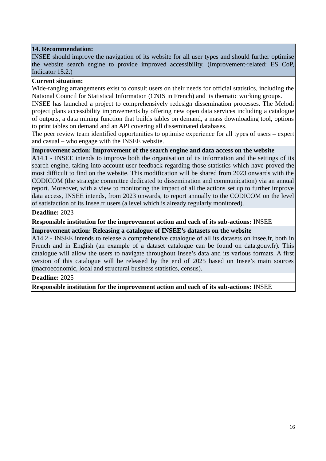INSEE should improve the navigation of its website for all user types and should further optimise the website search engine to provide improved accessibility. (Improvement-related: ES CoP, Indicator 15.2.)

#### **Current situation:**

Wide-ranging arrangements exist to consult users on their needs for official statistics, including the National Council for Statistical Information (CNIS in French) and its thematic working groups.

INSEE has launched a project to comprehensively redesign dissemination processes. The Melodi project plans accessibility improvements by offering new open data services including a catalogue of outputs, a data mining function that builds tables on demand, a mass downloading tool, options to print tables on demand and an API covering all disseminated databases.

The peer review team identified opportunities to optimise experience for all types of users – expert and casual – who engage with the INSEE website.

#### **Improvement action: Improvement of the search engine and data access on the website**

A14.1 - INSEE intends to improve both the organisation of its information and the settings of its search engine, taking into account user feedback regarding those statistics which have proved the most difficult to find on the website. This modification will be shared from 2023 onwards with the CODICOM (the strategic committee dedicated to dissemination and communication) via an annual report. Moreover, with a view to monitoring the impact of all the actions set up to further improve data access, INSEE intends, from 2023 onwards, to report annually to the CODICOM on the level of satisfaction of its Insee.fr users (a level which is already regularly monitored).

#### **Deadline:** 2023

**Responsible institution for the improvement action and each of its sub-actions:** INSEE

#### **Improvement action: Releasing a catalogue of INSEE's datasets on the website**

A14.2 - INSEE intends to release a comprehensive catalogue of all its datasets on insee.fr, both in French and in English (an example of a dataset catalogue can be found on data.gouv.fr). This catalogue will allow the users to navigate throughout Insee's data and its various formats. A first version of this catalogue will be released by the end of 2025 based on Insee's main sources (macroeconomic, local and structural business statistics, census).

#### **Deadline:** 2025